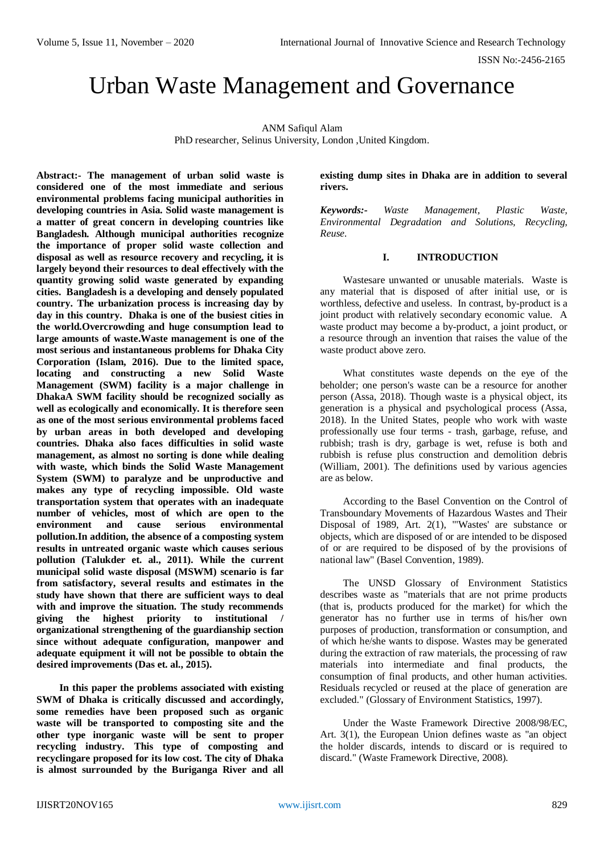# Urban Waste Management and Governance

ANM Safiqul Alam PhD researcher, Selinus University, London ,United Kingdom.

**Abstract:- The management of urban solid waste is considered one of the most immediate and serious environmental problems facing municipal authorities in developing countries in Asia. Solid waste management is a matter of great concern in developing countries like Bangladesh. Although municipal authorities recognize the importance of proper solid waste collection and disposal as well as resource recovery and recycling, it is largely beyond their resources to deal effectively with the quantity growing solid waste generated by expanding cities. Bangladesh is a developing and densely populated country. The urbanization process is increasing day by day in this country. Dhaka is one of the busiest cities in the world.Overcrowding and huge consumption lead to large amounts of waste.Waste management is one of the most serious and instantaneous problems for Dhaka City Corporation (Islam, 2016). Due to the limited space, locating and constructing a new Solid Waste Management (SWM) facility is a major challenge in DhakaA SWM facility should be recognized socially as well as ecologically and economically. It is therefore seen as one of the most serious environmental problems faced by urban areas in both developed and developing countries. Dhaka also faces difficulties in solid waste management, as almost no sorting is done while dealing with waste, which binds the Solid Waste Management System (SWM) to paralyze and be unproductive and makes any type of recycling impossible. Old waste transportation system that operates with an inadequate number of vehicles, most of which are open to the**  and cause serious environmental **pollution.In addition, the absence of a composting system results in untreated organic waste which causes serious pollution (Talukder et. al., 2011). While the current municipal solid waste disposal (MSWM) scenario is far from satisfactory, several results and estimates in the study have shown that there are sufficient ways to deal with and improve the situation. The study recommends giving the highest priority to institutional / organizational strengthening of the guardianship section since without adequate configuration, manpower and adequate equipment it will not be possible to obtain the desired improvements (Das et. al., 2015).**

**In this paper the problems associated with existing SWM of Dhaka is critically discussed and accordingly, some remedies have been proposed such as organic waste will be transported to composting site and the other type inorganic waste will be sent to proper recycling industry. This type of composting and recyclingare proposed for its low cost. The city of Dhaka is almost surrounded by the Buriganga River and all**  **existing dump sites in Dhaka are in addition to several rivers.** 

*Keywords:- Waste Management, Plastic Waste, Environmental Degradation and Solutions, Recycling, Reuse.*

### **I. INTRODUCTION**

Wastesare unwanted or unusable materials. Waste is any material that is disposed of after initial use, or is worthless, defective and useless. In contrast, by-product is a joint product with relatively secondary economic value. A waste product may become a by-product, a joint product, or a resource through an invention that raises the value of the waste product above zero.

What constitutes waste depends on the eye of the beholder; one person's waste can be a resource for another person (Assa, 2018). Though waste is a physical object, its generation is a physical and psychological process (Assa, 2018). In the United States, people who work with waste professionally use four terms - trash, garbage, refuse, and rubbish; trash is dry, garbage is wet, refuse is both and rubbish is refuse plus construction and demolition debris (William, 2001). The definitions used by various agencies are as below.

According to the Basel Convention on the Control of Transboundary Movements of Hazardous Wastes and Their Disposal of 1989, Art. 2(1), "'Wastes' are substance or objects, which are disposed of or are intended to be disposed of or are required to be disposed of by the provisions of national law" (Basel Convention, 1989).

The UNSD Glossary of Environment Statistics describes waste as "materials that are not prime products (that is, products produced for the market) for which the generator has no further use in terms of his/her own purposes of production, transformation or consumption, and of which he/she wants to dispose. Wastes may be generated during the extraction of raw materials, the processing of raw materials into intermediate and final products, the consumption of final products, and other human activities. Residuals recycled or reused at the place of generation are excluded." (Glossary of Environment Statistics, 1997).

Under the Waste Framework Directive 2008/98/EC, Art. 3(1), the European Union defines waste as "an object the holder discards, intends to discard or is required to discard." (Waste Framework Directive, 2008).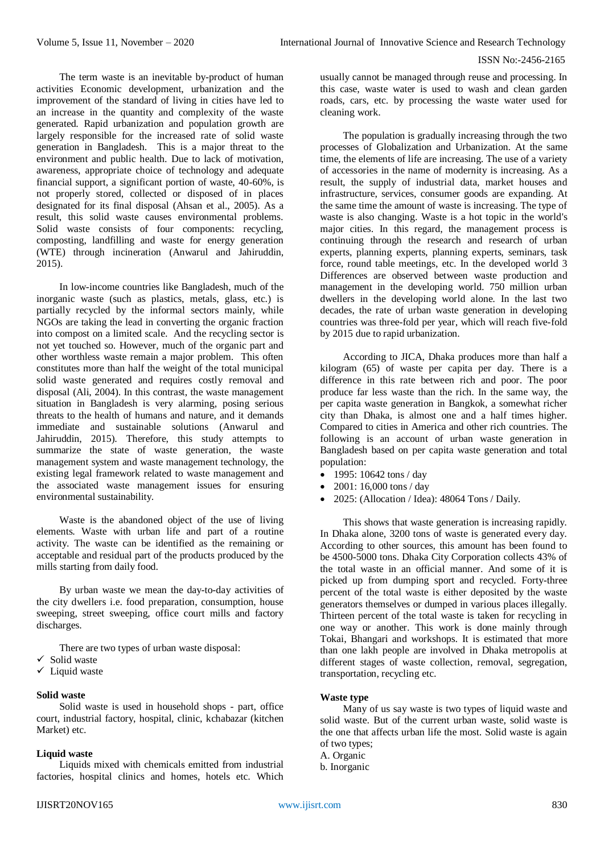The term waste is an inevitable by-product of human activities Economic development, urbanization and the improvement of the standard of living in cities have led to an increase in the quantity and complexity of the waste generated. Rapid urbanization and population growth are largely responsible for the increased rate of solid waste generation in Bangladesh. This is a major threat to the environment and public health. Due to lack of motivation, awareness, appropriate choice of technology and adequate financial support, a significant portion of waste, 40-60%, is not properly stored, collected or disposed of in places designated for its final disposal (Ahsan et al., 2005). As a result, this solid waste causes environmental problems. Solid waste consists of four components: recycling, composting, landfilling and waste for energy generation (WTE) through incineration (Anwarul and Jahiruddin, 2015).

In low-income countries like Bangladesh, much of the inorganic waste (such as plastics, metals, glass, etc.) is partially recycled by the informal sectors mainly, while NGOs are taking the lead in converting the organic fraction into compost on a limited scale. And the recycling sector is not yet touched so. However, much of the organic part and other worthless waste remain a major problem. This often constitutes more than half the weight of the total municipal solid waste generated and requires costly removal and disposal (Ali, 2004). In this contrast, the waste management situation in Bangladesh is very alarming, posing serious threats to the health of humans and nature, and it demands immediate and sustainable solutions (Anwarul and Jahiruddin, 2015). Therefore, this study attempts to summarize the state of waste generation, the waste management system and waste management technology, the existing legal framework related to waste management and the associated waste management issues for ensuring environmental sustainability.

Waste is the abandoned object of the use of living elements. Waste with urban life and part of a routine activity. The waste can be identified as the remaining or acceptable and residual part of the products produced by the mills starting from daily food.

By urban waste we mean the day-to-day activities of the city dwellers i.e. food preparation, consumption, house sweeping, street sweeping, office court mills and factory discharges.

There are two types of urban waste disposal:

- $\checkmark$  Solid waste
- $\checkmark$  Liquid waste

### **Solid waste**

Solid waste is used in household shops - part, office court, industrial factory, hospital, clinic, kchabazar (kitchen Market) etc.

# **Liquid waste**

Liquids mixed with chemicals emitted from industrial factories, hospital clinics and homes, hotels etc. Which usually cannot be managed through reuse and processing. In this case, waste water is used to wash and clean garden roads, cars, etc. by processing the waste water used for cleaning work.

The population is gradually increasing through the two processes of Globalization and Urbanization. At the same time, the elements of life are increasing. The use of a variety of accessories in the name of modernity is increasing. As a result, the supply of industrial data, market houses and infrastructure, services, consumer goods are expanding. At the same time the amount of waste is increasing. The type of waste is also changing. Waste is a hot topic in the world's major cities. In this regard, the management process is continuing through the research and research of urban experts, planning experts, planning experts, seminars, task force, round table meetings, etc. In the developed world 3 Differences are observed between waste production and management in the developing world. 750 million urban dwellers in the developing world alone. In the last two decades, the rate of urban waste generation in developing countries was three-fold per year, which will reach five-fold by 2015 due to rapid urbanization.

According to JICA, Dhaka produces more than half a kilogram (65) of waste per capita per day. There is a difference in this rate between rich and poor. The poor produce far less waste than the rich. In the same way, the per capita waste generation in Bangkok, a somewhat richer city than Dhaka, is almost one and a half times higher. Compared to cities in America and other rich countries. The following is an account of urban waste generation in Bangladesh based on per capita waste generation and total population:

- 1995: 10642 tons / day
- 2001: 16,000 tons / day
- 2025: (Allocation / Idea): 48064 Tons / Daily.

This shows that waste generation is increasing rapidly. In Dhaka alone, 3200 tons of waste is generated every day. According to other sources, this amount has been found to be 4500-5000 tons. Dhaka City Corporation collects 43% of the total waste in an official manner. And some of it is picked up from dumping sport and recycled. Forty-three percent of the total waste is either deposited by the waste generators themselves or dumped in various places illegally. Thirteen percent of the total waste is taken for recycling in one way or another. This work is done mainly through Tokai, Bhangari and workshops. It is estimated that more than one lakh people are involved in Dhaka metropolis at different stages of waste collection, removal, segregation, transportation, recycling etc.

### **Waste type**

Many of us say waste is two types of liquid waste and solid waste. But of the current urban waste, solid waste is the one that affects urban life the most. Solid waste is again of two types;

A. Organic

b. Inorganic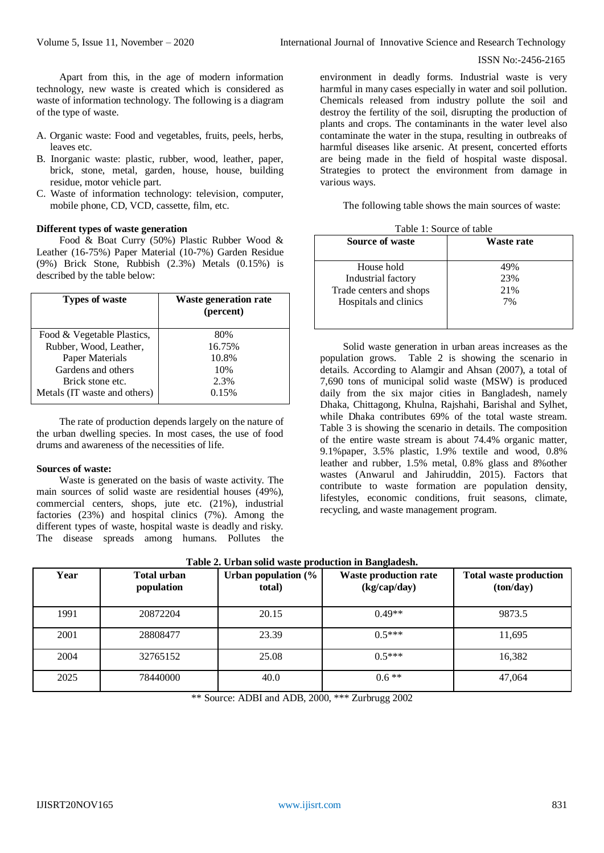21% 7%

Apart from this, in the age of modern information technology, new waste is created which is considered as waste of information technology. The following is a diagram of the type of waste.

- A. Organic waste: Food and vegetables, fruits, peels, herbs, leaves etc.
- B. Inorganic waste: plastic, rubber, wood, leather, paper, brick, stone, metal, garden, house, house, building residue, motor vehicle part.
- C. Waste of information technology: television, computer, mobile phone, CD, VCD, cassette, film, etc.

### **Different types of waste generation**

Food & Boat Curry (50%) Plastic Rubber Wood & Leather (16-75%) Paper Material (10-7%) Garden Residue (9%) Brick Stone, Rubbish (2.3%) Metals (0.15%) is described by the table below:

| <b>Types of waste</b>        | <b>Waste generation rate</b><br>(percent) |  |  |  |
|------------------------------|-------------------------------------------|--|--|--|
| Food & Vegetable Plastics,   | 80%                                       |  |  |  |
| Rubber, Wood, Leather,       | 16.75%                                    |  |  |  |
| Paper Materials              | 10.8%                                     |  |  |  |
| Gardens and others           | 10%                                       |  |  |  |
| Brick stone etc.             | 2.3%                                      |  |  |  |
| Metals (IT waste and others) | 0.15%                                     |  |  |  |

The rate of production depends largely on the nature of the urban dwelling species. In most cases, the use of food drums and awareness of the necessities of life.

### **Sources of waste:**

Waste is generated on the basis of waste activity. The main sources of solid waste are residential houses (49%), commercial centers, shops, jute etc. (21%), industrial factories (23%) and hospital clinics (7%). Among the different types of waste, hospital waste is deadly and risky. The disease spreads among humans. Pollutes the environment in deadly forms. Industrial waste is very harmful in many cases especially in water and soil pollution. Chemicals released from industry pollute the soil and destroy the fertility of the soil, disrupting the production of plants and crops. The contaminants in the water level also contaminate the water in the stupa, resulting in outbreaks of harmful diseases like arsenic. At present, concerted efforts are being made in the field of hospital waste disposal. Strategies to protect the environment from damage in various ways.

The following table shows the main sources of waste:

| Table 1: Source of table |            |  |  |  |
|--------------------------|------------|--|--|--|
| <b>Source of waste</b>   | Waste rate |  |  |  |
|                          |            |  |  |  |
| House hold               | 49%        |  |  |  |
| Industrial factory       | 23%        |  |  |  |

Trade centers and shops Hospitals and clinics

Solid waste generation in urban areas increases as the population grows. Table 2 is showing the scenario in details. According to Alamgir and Ahsan (2007), a total of 7,690 tons of municipal solid waste (MSW) is produced daily from the six major cities in Bangladesh, namely Dhaka, Chittagong, Khulna, Rajshahi, Barishal and Sylhet, while Dhaka contributes 69% of the total waste stream. Table 3 is showing the scenario in details. The composition of the entire waste stream is about 74.4% organic matter, 9.1%paper, 3.5% plastic, 1.9% textile and wood, 0.8% leather and rubber, 1.5% metal, 0.8% glass and 8%other wastes (Anwarul and Jahiruddin, 2015). Factors that contribute to waste formation are population density, lifestyles, economic conditions, fruit seasons, climate, recycling, and waste management program.

|  |  |  |  |  | Table 2. Urban solid waste production in Bangladesh. |
|--|--|--|--|--|------------------------------------------------------|
|--|--|--|--|--|------------------------------------------------------|

| Year | <b>Total urban</b><br>population | Urban population (%<br>total) | <b>Waste production rate</b><br>(kg/cap/day) | <b>Total waste production</b><br>(ton/day) |
|------|----------------------------------|-------------------------------|----------------------------------------------|--------------------------------------------|
| 1991 | 20872204                         | 20.15                         | $0.49**$                                     | 9873.5                                     |
| 2001 | 28808477                         | 23.39                         | $0.5***$                                     | 11,695                                     |
| 2004 | 32765152                         | 25.08                         | $0.5***$                                     | 16,382                                     |
| 2025 | 78440000                         | 40.0                          | $0.6**$                                      | 47,064                                     |

\*\* Source: ADBI and ADB, 2000, \*\*\* Zurbrugg 2002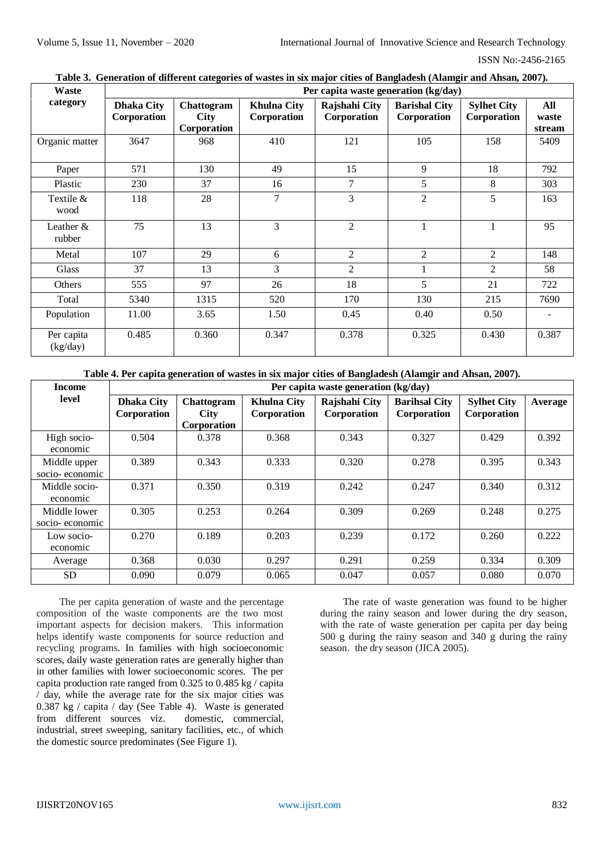| Waste                  | Per capita waste generation (kg/day) |                                          |                                   |                              |                                     |                                   |                          |
|------------------------|--------------------------------------|------------------------------------------|-----------------------------------|------------------------------|-------------------------------------|-----------------------------------|--------------------------|
| category               | <b>Dhaka City</b><br>Corporation     | Chattogram<br><b>City</b><br>Corporation | <b>Khulna City</b><br>Corporation | Rajshahi City<br>Corporation | <b>Barishal City</b><br>Corporation | <b>Sylhet City</b><br>Corporation | All<br>waste<br>stream   |
| Organic matter         | 3647                                 | 968                                      | 410                               | 121                          | 105                                 | 158                               | 5409                     |
| Paper                  | 571                                  | 130                                      | 49                                | 15                           | 9                                   | 18                                | 792                      |
| Plastic                | 230                                  | 37                                       | 16                                | $\tau$                       | 5                                   | 8                                 | 303                      |
| Textile &<br>wood      | 118                                  | 28                                       | 7                                 | 3                            | $\overline{2}$                      | 5                                 | 163                      |
| Leather $&$<br>rubber  | 75                                   | 13                                       | 3                                 | $\overline{2}$               |                                     | 1                                 | 95                       |
| Metal                  | 107                                  | 29                                       | 6                                 | $\overline{2}$               | $\overline{2}$                      | $\overline{2}$                    | 148                      |
| Glass                  | 37                                   | 13                                       | 3                                 | $\overline{2}$               |                                     | $\overline{2}$                    | 58                       |
| Others                 | 555                                  | 97                                       | 26                                | 18                           | 5                                   | 21                                | 722                      |
| Total                  | 5340                                 | 1315                                     | 520                               | 170                          | 130                                 | 215                               | 7690                     |
| Population             | 11.00                                | 3.65                                     | 1.50                              | 0.45                         | 0.40                                | 0.50                              | $\overline{\phantom{a}}$ |
| Per capita<br>(kg/day) | 0.485                                | 0.360                                    | 0.347                             | 0.378                        | 0.325                               | 0.430                             | 0.387                    |

# **Table 3. Generation of different categories of wastes in six major cities of Bangladesh (Alamgir and Ahsan, 2007).**

**Table 4. Per capita generation of wastes in six major cities of Bangladesh (Alamgir and Ahsan, 2007).**

| <b>Income</b>                  | Per capita waste generation (kg/day) |                                          |                                   |                              |                                     |                                   |         |
|--------------------------------|--------------------------------------|------------------------------------------|-----------------------------------|------------------------------|-------------------------------------|-----------------------------------|---------|
| level                          | <b>Dhaka City</b><br>Corporation     | Chattogram<br><b>City</b><br>Corporation | <b>Khulna City</b><br>Corporation | Rajshahi City<br>Corporation | <b>Barihsal City</b><br>Corporation | <b>Sylhet City</b><br>Corporation | Average |
| High socio-<br>economic        | 0.504                                | 0.378                                    | 0.368                             | 0.343                        | 0.327                               | 0.429                             | 0.392   |
| Middle upper<br>socio-economic | 0.389                                | 0.343                                    | 0.333                             | 0.320                        | 0.278                               | 0.395                             | 0.343   |
| Middle socio-<br>economic      | 0.371                                | 0.350                                    | 0.319                             | 0.242                        | 0.247                               | 0.340                             | 0.312   |
| Middle lower<br>socio-economic | 0.305                                | 0.253                                    | 0.264                             | 0.309                        | 0.269                               | 0.248                             | 0.275   |
| Low socio-<br>economic         | 0.270                                | 0.189                                    | 0.203                             | 0.239                        | 0.172                               | 0.260                             | 0.222   |
| Average                        | 0.368                                | 0.030                                    | 0.297                             | 0.291                        | 0.259                               | 0.334                             | 0.309   |
| <b>SD</b>                      | 0.090                                | 0.079                                    | 0.065                             | 0.047                        | 0.057                               | 0.080                             | 0.070   |

The per capita generation of waste and the percentage composition of the waste components are the two most important aspects for decision makers. This information helps identify waste components for source reduction and recycling programs. In families with high socioeconomic scores, daily waste generation rates are generally higher than in other families with lower socioeconomic scores. The per capita production rate ranged from 0.325 to 0.485 kg / capita / day, while the average rate for the six major cities was 0.387 kg / capita / day (See Table 4). Waste is generated from different sources viz. domestic, commercial, from different sources viz. industrial, street sweeping, sanitary facilities, etc., of which the domestic source predominates (See Figure 1).

The rate of waste generation was found to be higher during the rainy season and lower during the dry season, with the rate of waste generation per capita per day being 500 g during the rainy season and 340 g during the rainy season. the dry season (JICA 2005).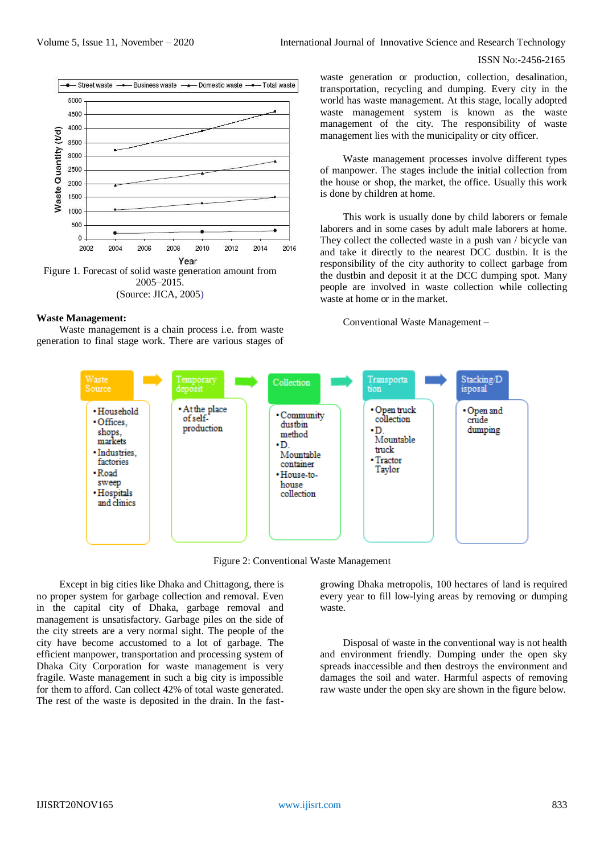

### **Waste Management:**

Waste management is a chain process i.e. from waste generation to final stage work. There are various stages of waste generation or production, collection, desalination, transportation, recycling and dumping. Every city in the world has waste management. At this stage, locally adopted waste management system is known as the waste management of the city. The responsibility of waste management lies with the municipality or city officer.

Waste management processes involve different types of manpower. The stages include the initial collection from the house or shop, the market, the office. Usually this work is done by children at home.

This work is usually done by child laborers or female laborers and in some cases by adult male laborers at home. They collect the collected waste in a push van / bicycle van and take it directly to the nearest DCC dustbin. It is the responsibility of the city authority to collect garbage from the dustbin and deposit it at the DCC dumping spot. Many people are involved in waste collection while collecting waste at home or in the market.

Conventional Waste Management –



Figure 2: Conventional Waste Management

Except in big cities like Dhaka and Chittagong, there is no proper system for garbage collection and removal. Even in the capital city of Dhaka, garbage removal and management is unsatisfactory. Garbage piles on the side of the city streets are a very normal sight. The people of the city have become accustomed to a lot of garbage. The efficient manpower, transportation and processing system of Dhaka City Corporation for waste management is very fragile. Waste management in such a big city is impossible for them to afford. Can collect 42% of total waste generated. The rest of the waste is deposited in the drain. In the fast-

growing Dhaka metropolis, 100 hectares of land is required every year to fill low-lying areas by removing or dumping waste.

Disposal of waste in the conventional way is not health and environment friendly. Dumping under the open sky spreads inaccessible and then destroys the environment and damages the soil and water. Harmful aspects of removing raw waste under the open sky are shown in the figure below.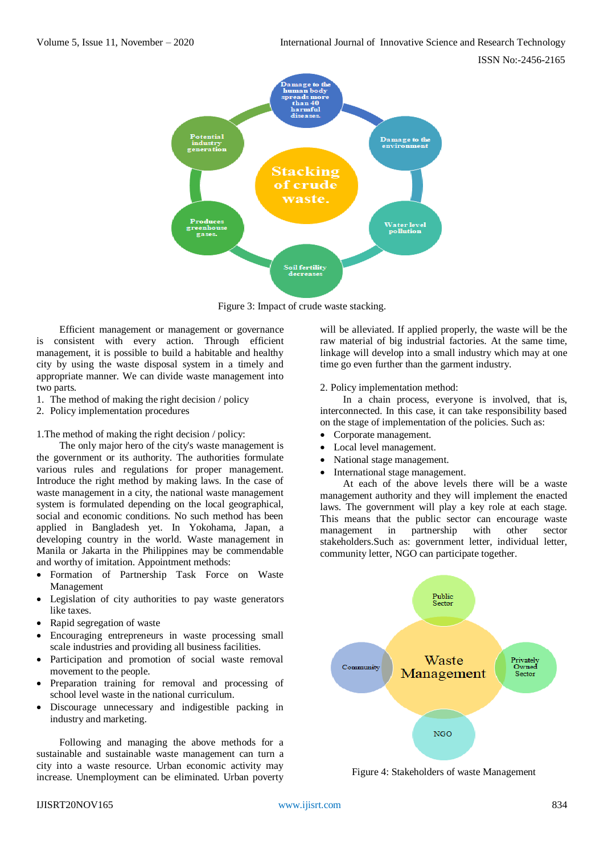

Figure 3: Impact of crude waste stacking.

Efficient management or management or governance is consistent with every action. Through efficient management, it is possible to build a habitable and healthy city by using the waste disposal system in a timely and appropriate manner. We can divide waste management into two parts.

- 1. The method of making the right decision / policy
- 2. Policy implementation procedures

1.The method of making the right decision / policy:

The only major hero of the city's waste management is the government or its authority. The authorities formulate various rules and regulations for proper management. Introduce the right method by making laws. In the case of waste management in a city, the national waste management system is formulated depending on the local geographical, social and economic conditions. No such method has been applied in Bangladesh yet. In Yokohama, Japan, a developing country in the world. Waste management in Manila or Jakarta in the Philippines may be commendable and worthy of imitation. Appointment methods:

- Formation of Partnership Task Force on Waste Management
- Legislation of city authorities to pay waste generators like taxes.
- Rapid segregation of waste
- Encouraging entrepreneurs in waste processing small scale industries and providing all business facilities.
- Participation and promotion of social waste removal movement to the people.
- Preparation training for removal and processing of school level waste in the national curriculum.
- Discourage unnecessary and indigestible packing in industry and marketing.

Following and managing the above methods for a sustainable and sustainable waste management can turn a city into a waste resource. Urban economic activity may increase. Unemployment can be eliminated. Urban poverty

will be alleviated. If applied properly, the waste will be the raw material of big industrial factories. At the same time, linkage will develop into a small industry which may at one time go even further than the garment industry.

2. Policy implementation method:

In a chain process, everyone is involved, that is, interconnected. In this case, it can take responsibility based on the stage of implementation of the policies. Such as:

- Corporate management.
- Local level management.
- National stage management.
- International stage management.

At each of the above levels there will be a waste management authority and they will implement the enacted laws. The government will play a key role at each stage. This means that the public sector can encourage waste management in partnership with other sector stakeholders.Such as: government letter, individual letter, community letter, NGO can participate together.



Figure 4: Stakeholders of waste Management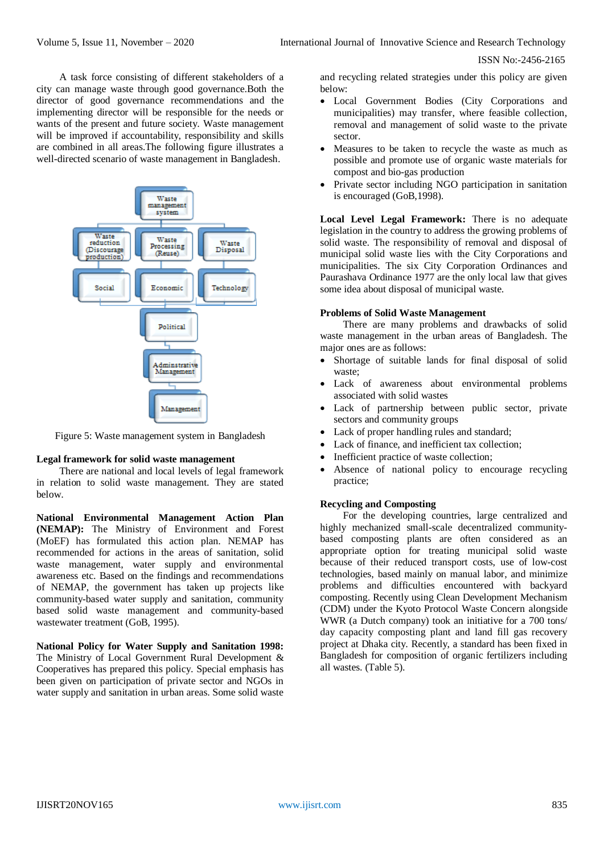A task force consisting of different stakeholders of a city can manage waste through good governance.Both the director of good governance recommendations and the implementing director will be responsible for the needs or wants of the present and future society. Waste management will be improved if accountability, responsibility and skills are combined in all areas.The following figure illustrates a well-directed scenario of waste management in Bangladesh.



Figure 5: Waste management system in Bangladesh

### **Legal framework for solid waste management**

There are national and local levels of legal framework in relation to solid waste management. They are stated below.

**National Environmental Management Action Plan (NEMAP):** The Ministry of Environment and Forest (MoEF) has formulated this action plan. NEMAP has recommended for actions in the areas of sanitation, solid waste management, water supply and environmental awareness etc. Based on the findings and recommendations of NEMAP, the government has taken up projects like community-based water supply and sanitation, community based solid waste management and community-based wastewater treatment (GoB, 1995).

**National Policy for Water Supply and Sanitation 1998:**  The Ministry of Local Government Rural Development & Cooperatives has prepared this policy. Special emphasis has been given on participation of private sector and NGOs in water supply and sanitation in urban areas. Some solid waste and recycling related strategies under this policy are given below:

- Local Government Bodies (City Corporations and municipalities) may transfer, where feasible collection, removal and management of solid waste to the private sector.
- Measures to be taken to recycle the waste as much as possible and promote use of organic waste materials for compost and bio-gas production
- Private sector including NGO participation in sanitation is encouraged (GoB,1998).

**Local Level Legal Framework:** There is no adequate legislation in the country to address the growing problems of solid waste. The responsibility of removal and disposal of municipal solid waste lies with the City Corporations and municipalities. The six City Corporation Ordinances and Paurashava Ordinance 1977 are the only local law that gives some idea about disposal of municipal waste.

### **Problems of Solid Waste Management**

There are many problems and drawbacks of solid waste management in the urban areas of Bangladesh. The major ones are as follows:

- Shortage of suitable lands for final disposal of solid waste;
- Lack of awareness about environmental problems associated with solid wastes
- Lack of partnership between public sector, private sectors and community groups
- Lack of proper handling rules and standard;
- Lack of finance, and inefficient tax collection;
- Inefficient practice of waste collection;
- Absence of national policy to encourage recycling practice;

# **Recycling and Composting**

For the developing countries, large centralized and highly mechanized small-scale decentralized communitybased composting plants are often considered as an appropriate option for treating municipal solid waste because of their reduced transport costs, use of low-cost technologies, based mainly on manual labor, and minimize problems and difficulties encountered with backyard composting. Recently using Clean Development Mechanism (CDM) under the Kyoto Protocol Waste Concern alongside WWR (a Dutch company) took an initiative for a 700 tons/ day capacity composting plant and land fill gas recovery project at Dhaka city. Recently, a standard has been fixed in Bangladesh for composition of organic fertilizers including all wastes. (Table 5).